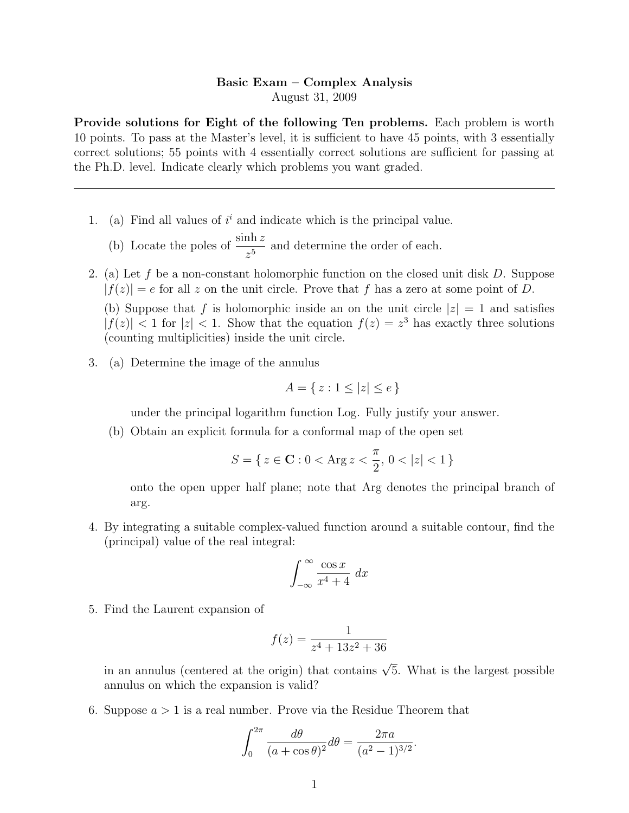## Basic Exam – Complex Analysis August 31, 2009

Provide solutions for Eight of the following Ten problems. Each problem is worth 10 points. To pass at the Master's level, it is sufficient to have 45 points, with 3 essentially correct solutions; 55 points with 4 essentially correct solutions are sufficient for passing at the Ph.D. level. Indicate clearly which problems you want graded.

1. (a) Find all values of  $i^i$  and indicate which is the principal value.

(b) Locate the poles of  $\frac{\sinh z}{z}$  $\frac{\text{Im } z}{z^5}$  and determine the order of each.

2. (a) Let f be a non-constant holomorphic function on the closed unit disk  $D$ . Suppose  $|f(z)| = e$  for all z on the unit circle. Prove that f has a zero at some point of D.

(b) Suppose that f is holomorphic inside an on the unit circle  $|z|=1$  and satisfies  $|f(z)| < 1$  for  $|z| < 1$ . Show that the equation  $f(z) = z<sup>3</sup>$  has exactly three solutions (counting multiplicities) inside the unit circle.

3. (a) Determine the image of the annulus

$$
A = \{ z : 1 \le |z| \le e \}
$$

under the principal logarithm function Log. Fully justify your answer.

(b) Obtain an explicit formula for a conformal map of the open set

$$
S = \{ \, z \in \mathbf{C} : 0 < \text{Arg}\, z < \frac{\pi}{2}, \, 0 < |z| < 1 \, \}
$$

onto the open upper half plane; note that Arg denotes the principal branch of arg.

4. By integrating a suitable complex-valued function around a suitable contour, find the (principal) value of the real integral:

$$
\int_{-\infty}^{\infty} \frac{\cos x}{x^4 + 4} \, dx
$$

5. Find the Laurent expansion of

$$
f(z) = \frac{1}{z^4 + 13z^2 + 36}
$$

in an annulus (centered at the origin) that contains  $\sqrt{5}$ . What is the largest possible annulus on which the expansion is valid?

6. Suppose  $a > 1$  is a real number. Prove via the Residue Theorem that

$$
\int_0^{2\pi} \frac{d\theta}{(a + \cos \theta)^2} d\theta = \frac{2\pi a}{(a^2 - 1)^{3/2}}.
$$